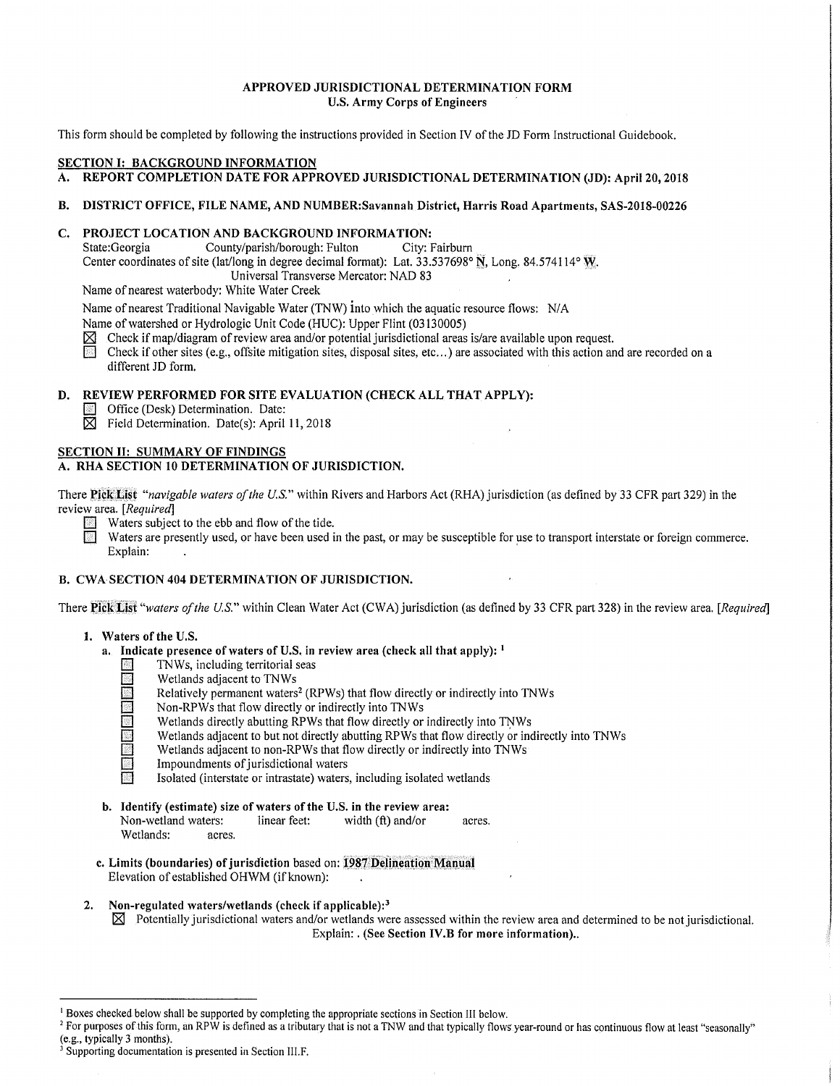#### APPROVED JURISDICTIONAL DETERMINATION FORM U.S. Army Corps of Engineers

This form should be completed by following the instructions provided in Section IV of the JD Form Instructional Guidebook.

#### SECTION I: BACKGROUND INFORMATION

## A. REPORT COMPLETION DATE FOR APPROVED JURISDICTIONAL DETERMINATION (JD): April 20, 2018

# B. DISTRICT OFFICE, FILE NAME, AND NUMBER:Savannah District, Harris Road Apartments, SAS-2018-00226

# C. PROJECT LOCATION AND BACKGROUND INFORMATION:<br>State:Georgia County/parish/borough: Fulton City: Fairburn

County/parish/borough: Fulton Center coordinates of site (lat/long in degree decimal format): Lat. 33.537698° N, Long. 84.574114° W. Universal Transverse Mercator: NAD 83

Name of nearest waterbody: White Water Creek

Name of nearest Traditional Navigable Water (TNW) into which the aquatic resource flows: N/A

Name of watershed or Hydrologic Unit Code (HUC): Upper Flint (03130005)

Check if map/diagram of review area and/or potential jurisdictional areas is/are available upon request.

Check if other sites (e.g., offsite mitigation sites, disposal sites, etc...) are associated with this action and are recorded on a different JD form.

#### D. REVIEW PERFORMED FOR SITE EVALUATION (CHECK ALL THAT APPLY):

- **El Office (Desk) Determination. Date:**
- $\boxtimes$  Field Determination. Date(s): April 11, 2018

## SECTION II: SUMMARY OF FINDINGS

## A. RHA SECTION 10 DETERMINATION OF JURISDICTION.

There Pick List "navigable waters of the U.S." within Rivers and Harbors Act (RHA) jurisdiction (as defined by 33 CFR part 329) in the review area. *[Required]* 

**Waters subject to the ebb and flow of the tide.** 

Waters are presently used, or have been used in the past, or may be susceptible for use to transport interstate or foreign commerce.<br>Explain: Explain: The contract of the contract of the contract of the contract of the contract of the contract of the contract of the contract of the contract of the contract of the contract of the contract of the contract of the c

#### B. CWA SECTION 404 DETERMINATION OF JURISDICTION.

There Pick List "waters of the U.S." within Clean Water Act (CWA) jurisdiction (as defined by 33 CFR part 328) in the review area. *[Required]* 

#### 1. Waters of the U.S.

- a. Indicate presence of waters of U.S. in review area (check all that apply): <sup>1</sup>
	- **El TNWs, including territorial seas**<br>
	Wetlands adjacent to TNWs
	- **1** Wetlands adjacent to TNWs<br>
	Relatively permanent waters
		- Relatively permanent waters<sup>2</sup> (RPWs) that flow directly or indirectly into TNWs
		- Non-RPWs that flow directly or indirectly into TNWs
	- Wetlands directly abutting RPWs that flow directly or indirectly into TNWs
	- Wetlands adjacent to but not directly abutting RPWs that flow directly or indirectly into TNWs
	- Wetlands adjacent to non-RPWs that flow directly or indirectly into TNWs
	- Impoundments of jurisdictional waters
	- Isolated (interstate or intrastate) waters, including isolated wetlands
- b. Identify (estimate) size of waters of the U.S. in the review area:<br>Non-wetland waters: linear feet: width  $(\hat{f})$  and/or Non-wetland waters: linear feet: width (ft) and/or acres. Wetlands: acres.
- c. Limits (boundaries) of jurisdiction based on: 1987 Delineation Manual Elevation of established OHWM (if known):
- 2. Non-regulated waters/wetlands (check if applicable): $3$  $\boxtimes$  Potentially jurisdictional waters and/or wetlands were assessed within the review area and determined to be not jurisdictional. Explain: . (See Section IV.B for more information)..

<sup>&</sup>lt;sup>1</sup> Boxes checked below shall be supported by completing the appropriate sections in Section III below.

<sup>&</sup>lt;sup>2</sup> For purposes of this form, an RPW is defined as a tributary that is not a TNW and that typically flows year-round or has continuous flow at least "seasonally" (e.g., typically 3 months).

<sup>&</sup>lt;sup>3</sup> Supporting documentation is presented in Section III.F.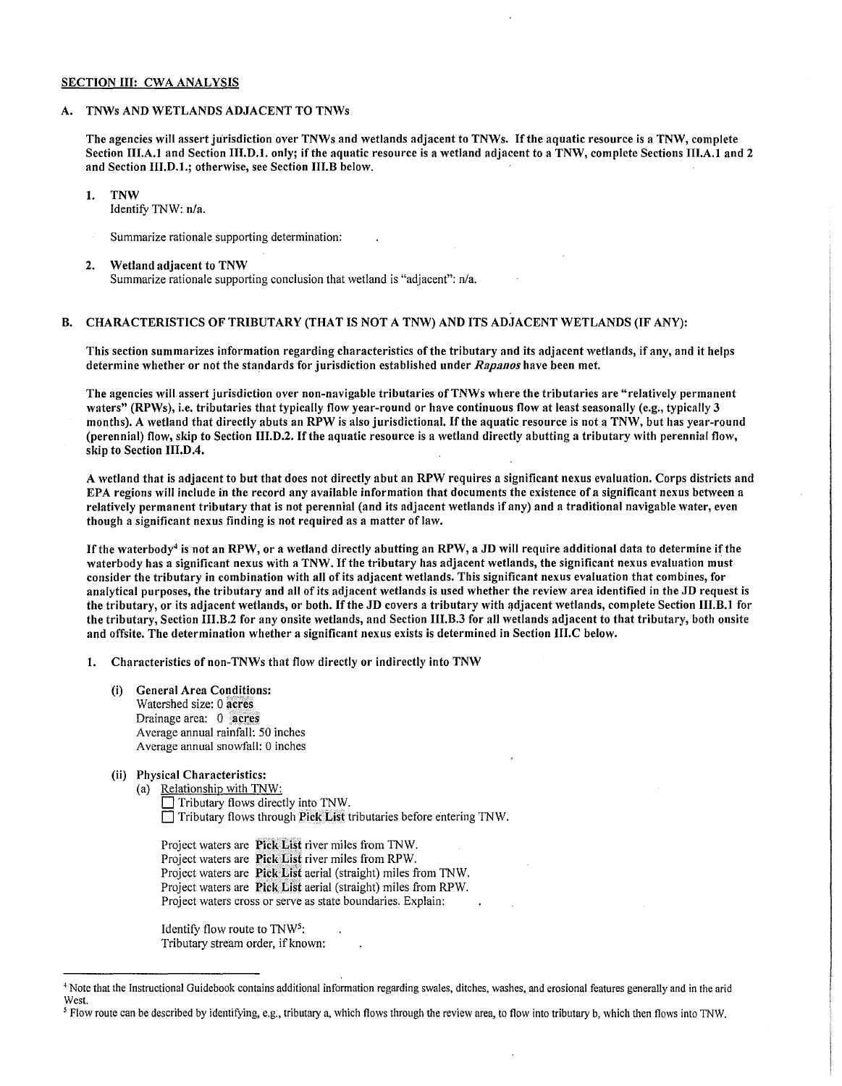#### SECTION III: CWA ANALYSIS

#### A. TNWs AND WETLANDS ADJACENT TO TNWs

The agencies will assert jurisdiction over TNWs and wetlands adjacent to TNWs. Ifthe aquatic resource is a TNW, complete Section III.A.I and Section 111.D.I. only; if the aquatic resource is a wetland adjacent to a TNW, complete Sections III.A.I and 2 and Section 111.D.I.; otherwise, see Section 111.B below.

1. TNW

Identify TNW: n/a.

- Summarize rationale supporting determination:
- 2. Wetland adjacent to TNW Summarize rationale supporting conclusion that wetland is "adjacent": n/a.

## B. CHARACTERISTICS OF TRIBUTARY (THAT IS NOT A TNW) AND ITS ADJACENT WETLANDS (IF ANY):

This section summarizes information regarding characteristics of the tributary and its adjacent wetlands, if any, and it helps determine whether or not the standards for jurisdiction established under *Rapanos* have been met.

The agencies will assert jurisdiction over non-navigable tributaries of TNWs where the tributaries are "relatively permanent waters" (RPWs), i.e. tributaries that typically flow year-round or have continuous flow at least seasonally (e.g., typically 3 months). A wetland that directly abuts an RPW is also jurisdictional. Ifthe aquatic resource is not a TNW, but has year-round (perennial) flow, skip to Section 111.D.2. Ifthe aquatic resource is a wetland directly abutting a tributary with perennial flow, skip to Section 111.D.4.

A wetland that is adjacent to but that does not directly abut an RPW requires a significant nexus evaluation. Corps districts and EPA regions will include in the record any available information that documents the existence of a significant nexus between a relatively permanent tributary that is not perennial (and its adjacent wetlands if any) and a traditional navigable water, even though a significant nexus finding is not required as a matter of law.

If the waterbody<sup>4</sup> is not an RPW, or a wetland directly abutting an RPW, a JD will require additional data to determine if the waterbody has a significant nexus with a TNW. If the tributary has adjacent wetlands, the significant nexus evaluation must consider the tributary in combination with all of its adjacent wetlands. This significant nexus evaluation that combines, for analytical purposes, the tributary and all of its adjacent wetlands is used whether the review area identified in the JD request is the tributary, or its adjacent wetlands, or both. If the JD covers a tributary with adjacent wetlands, complete Section III.B.1 for the tributary, Section 111.B.2 for any onsite wetlands, and Section 111.B.3 for all wetlands adjacent to that tributary, both onsite and offsite. The determination whether a significant nexus exists is determined in Section 111.C below.

1. Characteristics of non-TNWs that flow directly or indirectly into TNW

- (i) General Area Conditions: Watershed size: 0 acres Drainage area: 0 acres Average annual rainfall: 50 inches Average annual snowfall: 0 inches
- (ii) Physical Characteristics:
	- (a) Relationship with TNW: Tributary flows directly into TNW.  $\Box$  Tributary flows through Pick List tributaries before entering TNW.

Project waters are Pick List river miles from TNW. Project waters are Pick List river miles from RPW. Project waters are Pick List aerial (straight) miles from TNW. Project waters are Pick, List aerial (straight) miles from RPW. Project waters cross or serve as state boundaries. Explain:

Identify flow route to TNW5: Tributary stream order, if known:

<sup>4</sup> Note that the Instructional Guidebook contains additional information regarding swales, ditches, washes, and erosional features generally and in the arid West.

*<sup>5</sup>*Flow route can be described by identifying, e.g., tributary a, which flows through the review area, to flow into tributary b, which then flows into TNW.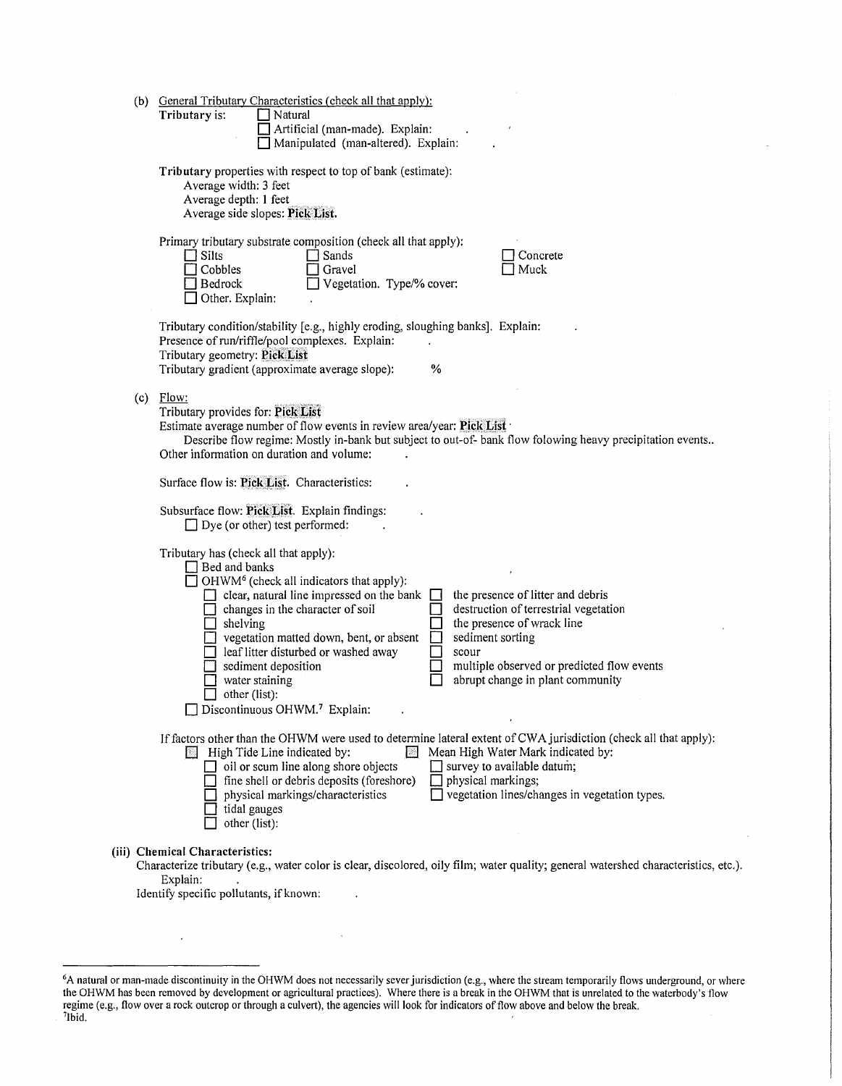| (b) General Tributary Characteristics (check all that apply):<br>Tributary is:<br>Natural<br>Artificial (man-made). Explain:<br>Manipulated (man-altered). Explain:                                                                                                                                                                                                                                                                                                                                                                                                                                                                            |
|------------------------------------------------------------------------------------------------------------------------------------------------------------------------------------------------------------------------------------------------------------------------------------------------------------------------------------------------------------------------------------------------------------------------------------------------------------------------------------------------------------------------------------------------------------------------------------------------------------------------------------------------|
| Tributary properties with respect to top of bank (estimate):<br>Average width: 3 feet<br>Average depth: 1 feet<br>Average side slopes: Pick List.                                                                                                                                                                                                                                                                                                                                                                                                                                                                                              |
| Primary tributary substrate composition (check all that apply):<br>Silts<br>Sands<br>Concrete<br>Muck<br>Cobbles<br>Gravel<br>Vegetation. Type/% cover:<br>Bedrock<br>Other. Explain:                                                                                                                                                                                                                                                                                                                                                                                                                                                          |
| Tributary condition/stability [e.g., highly eroding, sloughing banks]. Explain:<br>Presence of run/riffle/pool complexes. Explain:<br>Tributary geometry: Pick List<br>Tributary gradient (approximate average slope):<br>%                                                                                                                                                                                                                                                                                                                                                                                                                    |
| $(c)$ Flow:<br>Tributary provides for: Pick List<br>Estimate average number of flow events in review area/year: Pick List .<br>Describe flow regime: Mostly in-bank but subject to out-of- bank flow folowing heavy precipitation events<br>Other information on duration and volume:                                                                                                                                                                                                                                                                                                                                                          |
| Surface flow is: Pick List. Characteristics:                                                                                                                                                                                                                                                                                                                                                                                                                                                                                                                                                                                                   |
| Subsurface flow: Pick List. Explain findings:<br>$\Box$ Dye (or other) test performed:                                                                                                                                                                                                                                                                                                                                                                                                                                                                                                                                                         |
| Tributary has (check all that apply):<br>$\Box$ Bed and banks<br>$\Box$ OHWM <sup>6</sup> (check all indicators that apply):<br>the presence of litter and debris<br>clear, natural line impressed on the bank<br>destruction of terrestrial vegetation<br>changes in the character of soil<br>the presence of wrack line<br>shelving<br>sediment sorting<br>vegetation matted down, bent, or absent<br>leaf litter disturbed or washed away<br>scour<br>sediment deposition<br>multiple observed or predicted flow events<br>abrupt change in plant community<br>water staining<br>other (list):<br>Discontinuous OHWM. <sup>7</sup> Explain: |
| If factors other than the OHWM were used to determine lateral extent of CWA jurisdiction (check all that apply):<br>Mean High Water Mark indicated by:<br>High Tide Line indicated by:<br>$\Box$ oil or scum line along shore objects<br>survey to available datum;<br>fine shell or debris deposits (foreshore)<br>physical markings;<br>physical markings/characteristics<br>vegetation lines/changes in vegetation types.<br>tidal gauges<br>other (list):                                                                                                                                                                                  |
| (iii) Chemical Characteristics:<br>Characterize tributary (e.g., water color is clear, discolored, oily film; water quality; general watershed characteristics, etc.).<br>Explain:<br>Identify specific pollutants, if known:                                                                                                                                                                                                                                                                                                                                                                                                                  |
|                                                                                                                                                                                                                                                                                                                                                                                                                                                                                                                                                                                                                                                |

<sup>&</sup>lt;sup>6</sup>A natural or man-made discontinuity in the OHWM does not necessarily sever jurisdiction (e.g., where the stream temporarily flows underground, or where the OHWM has been removed by development or agricultural practices)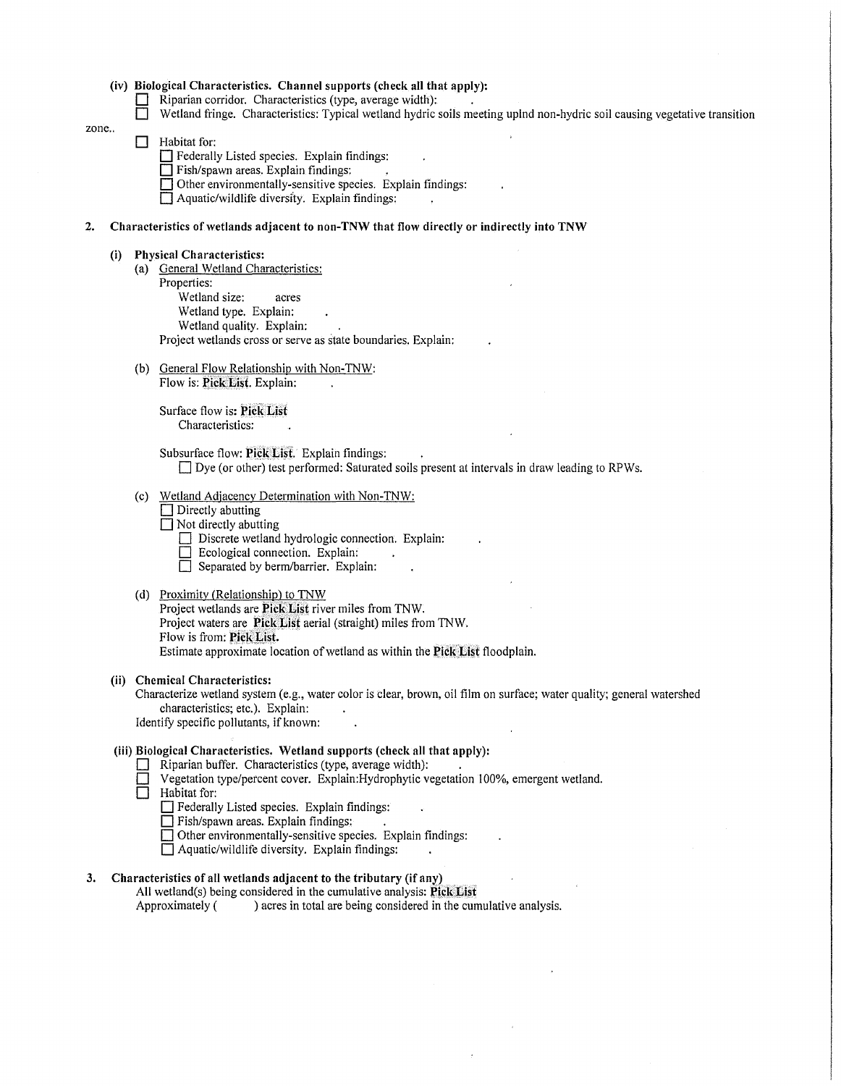|      |                                                                                                                                                                                                                                        |  | (iv) Biological Characteristics. Channel supports (check all that apply):<br>Riparian corridor. Characteristics (type, average width):<br>Wetland fringe. Characteristics: Typical wetland hydric soils meeting uplnd non-hydric soil causing vegetative transition                                                                                                                                                                                 |  |  |  |  |
|------|----------------------------------------------------------------------------------------------------------------------------------------------------------------------------------------------------------------------------------------|--|-----------------------------------------------------------------------------------------------------------------------------------------------------------------------------------------------------------------------------------------------------------------------------------------------------------------------------------------------------------------------------------------------------------------------------------------------------|--|--|--|--|
| zone |                                                                                                                                                                                                                                        |  | Habitat for:<br>Federally Listed species. Explain findings:<br>Fish/spawn areas. Explain findings:<br>Other environmentally-sensitive species. Explain findings:<br>Aquatic/wildlife diversity. Explain findings:                                                                                                                                                                                                                                   |  |  |  |  |
| 2.   |                                                                                                                                                                                                                                        |  | Characteristics of wetlands adjacent to non-TNW that flow directly or indirectly into TNW                                                                                                                                                                                                                                                                                                                                                           |  |  |  |  |
|      | (i)                                                                                                                                                                                                                                    |  | <b>Physical Characteristics:</b><br>(a) General Wetland Characteristics:<br>Properties:<br>Wetland size:<br>acres<br>Wetland type. Explain:<br>Wetland quality. Explain:<br>Project wetlands cross or serve as state boundaries. Explain:                                                                                                                                                                                                           |  |  |  |  |
|      |                                                                                                                                                                                                                                        |  | (b) General Flow Relationship with Non-TNW:<br>Flow is: Pick List. Explain:<br>Surface flow is: Pick List<br>Characteristics:                                                                                                                                                                                                                                                                                                                       |  |  |  |  |
|      |                                                                                                                                                                                                                                        |  | Subsurface flow: Pick List. Explain findings:<br>□ Dye (or other) test performed: Saturated soils present at intervals in draw leading to RPWs.                                                                                                                                                                                                                                                                                                     |  |  |  |  |
|      |                                                                                                                                                                                                                                        |  | (c) Wetland Adjacency Determination with Non-TNW:<br>$\Box$ Directly abutting<br>$\Box$ Not directly abutting<br>Discrete wetland hydrologic connection. Explain:<br>Ecological connection. Explain:<br>Separated by berm/barrier. Explain:                                                                                                                                                                                                         |  |  |  |  |
|      |                                                                                                                                                                                                                                        |  | (d) Proximity (Relationship) to TNW<br>Project wetlands are Pick List river miles from TNW.<br>Project waters are Pick List aerial (straight) miles from TNW.<br>Flow is from: Pick List.<br>Estimate approximate location of wetland as within the Pick List floodplain.                                                                                                                                                                           |  |  |  |  |
|      | (ii) Chemical Characteristics:<br>Characterize wetland system (e.g., water color is clear, brown, oil film on surface; water quality; general watershed<br>characteristics; etc.). Explain:<br>Identify specific pollutants, if known: |  |                                                                                                                                                                                                                                                                                                                                                                                                                                                     |  |  |  |  |
|      |                                                                                                                                                                                                                                        |  | (iii) Biological Characteristics. Wetland supports (check all that apply):<br>Riparian buffer. Characteristics (type, average width):<br>Vegetation type/percent cover. Explain:Hydrophytic vegetation 100%, emergent wetland.<br>Habitat for:<br>Federally Listed species. Explain findings:<br>Fish/spawn areas. Explain findings:<br>Other environmentally-sensitive species. Explain findings:<br>Aquatic/wildlife diversity. Explain findings: |  |  |  |  |
| 3.   | Characteristics of all wetlands adjacent to the tributary (if any)<br>All wetland(s) being considered in the cumulative analysis: Pick List                                                                                            |  |                                                                                                                                                                                                                                                                                                                                                                                                                                                     |  |  |  |  |

Approximately ( ) acres in total are being considered in the cumulative analysis.

 $\bar{\phantom{a}}$ 

 $\sim$ 

 $\hat{\mathcal{L}}$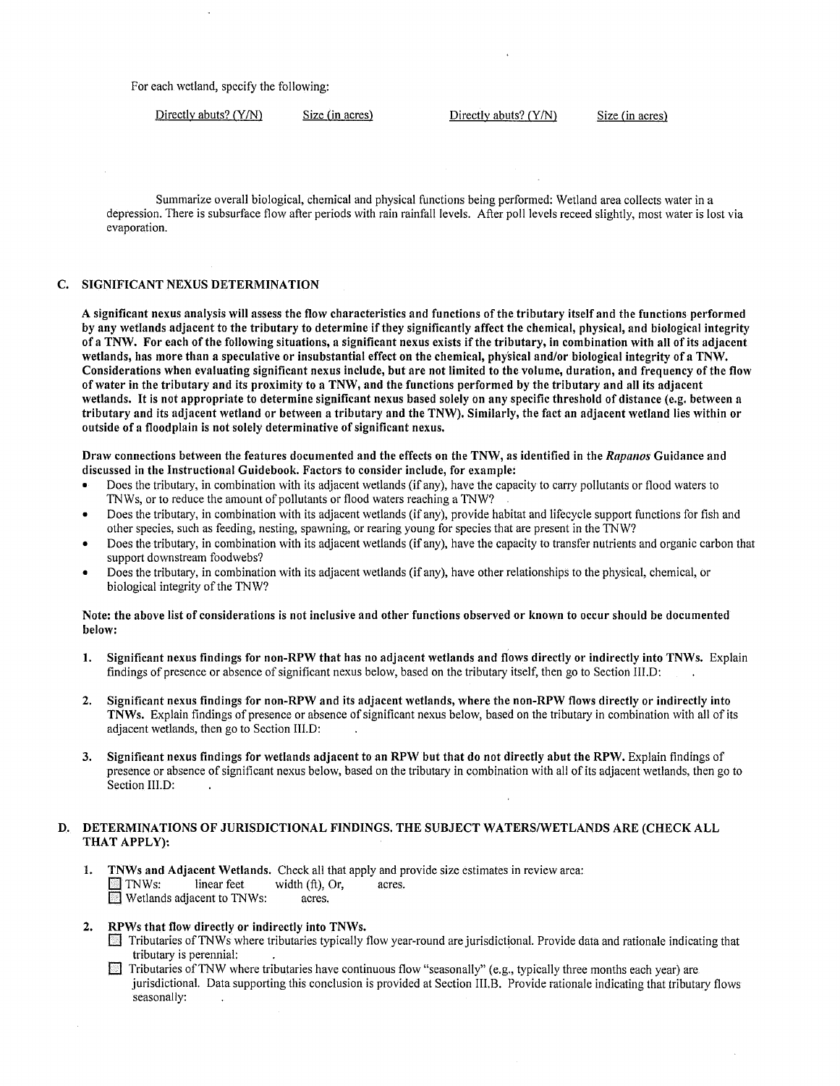For each wetland, specify the following:

 $Directly$  abuts? (Y/N) Size (in acres) Directly abuts? (Y/N) Size (in acres)

Summarize overall biological, chemical and physical functions being performed: Wetland area collects water in a depression. There is subsurface flow after periods with rain rainfall levels. After poll levels receed slightly, most water is lost via evaporation.

#### C. SIGNIFICANT NEXUS DETERMINATION

A significant nexus analysis will assess the flow characteristics and functions of the tributary itself and the functions performed by any wetlands adjacent to the tributary to determine ifthey significantly affect the chemical, physical, and biological integrity of a TNW. For each of the following situations, a significant nexus exists if the tributary, in combination with all of its adjacent wetlands, has more than a speculative or insubstantial effect on the chemical, phy'sical and/or biological integrity of a TNW. Considerations when evaluating significant nexus include, but are not limited to the volume, duration, and frequency of the flow of water in the tributary and its proximity to a TNW, and the functions performed by the tributary and all its adjacent wetlands. It is not appropriate to determine significant nexus based solely on any specific threshold of distance (e.g. between a tributary and its adjacent wetland or between a tributary and the TNW). Similarly, the fact an adjacent wetland lies within or outside of a floodplain is not solely determinative of significant nexus.

Draw connections between the features documented and the effects on the TNW, as identified in the *Rapanos* Guidance and discussed in the Instructional Guidebook. Factors to consider include, for example:

- Does the tributary, in combination with its adjacent wetlands (if any), have the capacity to carry pollutants or flood waters to TNWs, or to reduce the amount of pollutants or flood waters reaching a TNW?
- Does the tributary, in combination with its adjacent wetlands (if any), provide habitat and lifecycle support functions for fish and other species, such as feeding, nesting, spawning, or rearing young for species that are present in the TNW?
- Does the tributary, in combination with its adjacent wetlands (if any), have the capacity to transfer nutrients and organic carbon that support downstream foodwebs?
- Does the tributary, in combination with its adjacent wetlands (if any), have other relationships to the physical, chemical, or biological integrity of the TNW?

#### Note: the above list of considerations is not inclusive and other functions observed or known to occur should be documented below:

- 1. Significant nexus findings for non-RPW that has no adjacent wetlands and flows directly or indirectly into TNWs. Explain findings of presence or absence of significant nexus below, based on the tributary itself, then go to Section III.D:
- 2. Significant nexus findings for non-RPW and its adjacent wetlands, where the non-RPW flows directly or indirectly into TNWs. Explain findings of presence or absence of significant nexus below, based on the tributary in combination with all of its adjacent wetlands, then go to Section III.D:
- 3. Significant nexus findings for wetlands adjacent to an RPW but that do not directly abut the RPW. Explain findings of presence or absence of significant nexus below, based on the tributary in combination with all of its adjacent wetlands, then go to Section III.D:

## D. DETERMINATIONS OF JURISDICTIONAL FINDINGS. THE SUBJECT WATERS/WETLANDS ARE (CHECK ALL THAT APPLY):

- 1. TNWs and Adjacent Wetlands. Check all that apply and provide size estimates in review area: TNWs: linear feet width (ft), Or, acres.<br>Wetlands adjacent to TNWs: acres.  $\blacksquare$  Wetlands adjacent to TNWs:
- 2. RPWs that flow directly or indirectly into TNWs.
	- D Tributaries ofTNWs where tributaries typically flow year-round are jurisdictional. Provide data and rationale indicating that tributary is perennial:
	- D Tributaries ofTNW where tributaries have continuous flow "seasonally" (e.g., typically three months each year) are jurisdictional. Data supporting this conclusion is provided at Section III.B. Provide rationale indicating that tributary flows seasonally: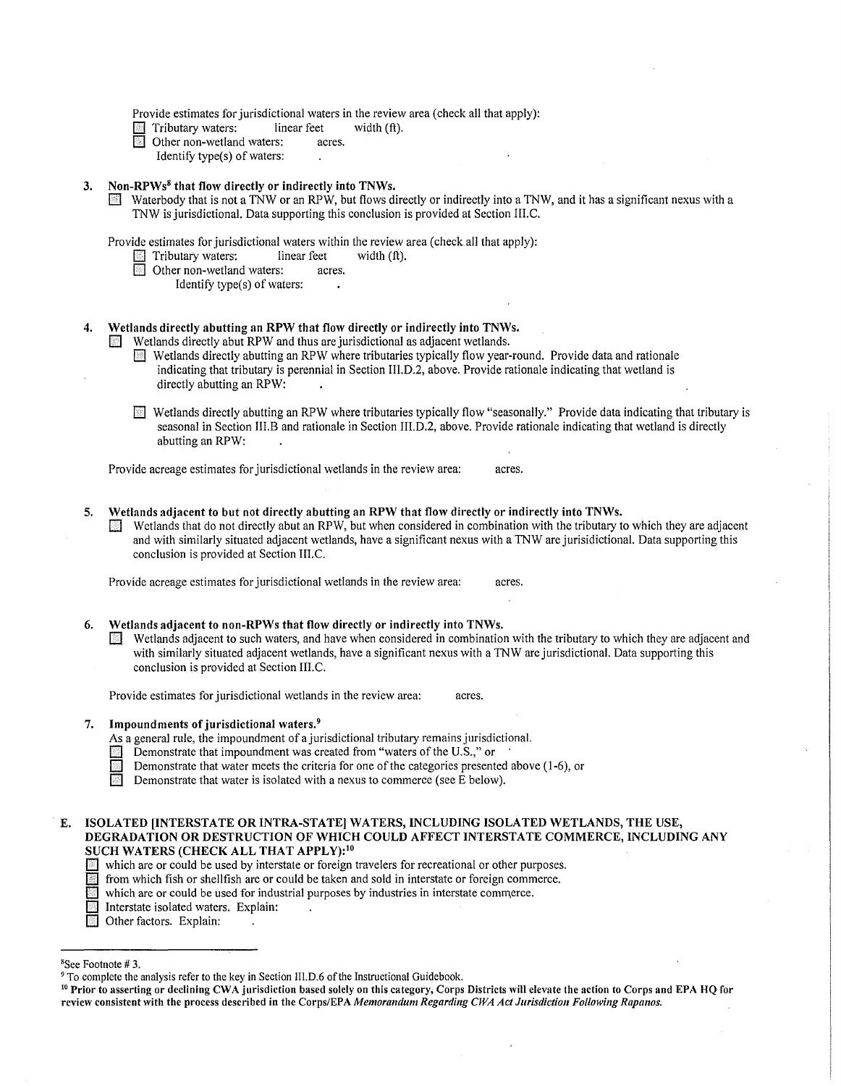Provide estimates for jurisdictional waters in the review area (check all that apply):<br>
Tributary waters: linear feet width  $(ft)$ .

- Tributary waters: linear feet<br>
Other non-wetland waters: acres.
- **b** Other non-wetland waters:
	- Identify type(s) of waters:

#### 3. Non-RPWs<sup>8</sup> that flow directly or indirectly into TNWs.

**B**] Waterbody that is not a TNW or an RPW, but flows directly or indirectly into a TNW, and it has a significant nexus with a TNW is jurisdictional. Data supporting this conclusion is provided at Section III.C.

Provide estimates for jurisdictional waters within the review area (check all that apply):<br>
Tributary waters: linear feet width  $(ft)$ .

- $\Box$  Tributary waters: linear feet width (ft).
- $\blacksquare$  Other non-wetland waters: acres.
	- Identify type(s) of waters:

## 4. Wetlands directly abutting an RPW that flow directly or indirectly into TNWs.

**E** Wetlands directly abut RPW and thus are jurisdictional as adjacent wetlands.

- El Wetlands directly abutting an RPW where tributaries typically flow year-round. Provide data and rationale indicating that tributary is perennial in Section III.D.2, above. Provide rationale indicating that wetland is directly abutting an RPW:
- [] Wetlands directly abutting an RPW where tributaries typically flow "seasonally." Provide data indicating that tributary is seasonal in Section III.B and rationale in Section III.D.2, above. Provide rationale indicating that wetland is directly abutting an RPW:

Provide acreage estimates for jurisdictional wetlands in the review area: acres.

- 5. Wetlands adjacent to but not directly abutting an RPW that flow directly or indirectly into TNWs.
	- $\Box$  Wetlands that do not directly abut an RPW, but when considered in combination with the tributary to which they are adjacent and with similarly situated adjacent wetlands, have a significant nexus with a TNW are jurisidictional. Data supporting this conclusion is provided at Section III.C.

Provide acreage estimates for jurisdictional wetlands in the review area: acres.

#### 6. Wetlands adjacent to non-RPWs that flow directly or indirectly into TNWs.

**EXECUTE Wetlands adjacent to such waters, and have when considered in combination with the tributary to which they are adjacent and** with similarly situated adjacent wetlands, have a significant nexus with a TNW are jurisdictional. Data supporting this conclusion is provided at Section III.C.

Provide estimates for jurisdictional wetlands in the review area: acres.

#### 7. Impoundments of jurisdictional waters.<sup>9</sup>

- As a general rule, the impoundment of a jurisdictional tributary remains jurisdictional.
- **Demonstrate that impoundment was created from "waters of the U.S.," or** Demonstrate that water meets the criteria for one of the categories presente
	- Demonstrate that water meets the criteria for one of the categories presented above (1-6), or
- **Demonstrate that water is isolated with a nexus to commerce (see E below).**

E. ISOLATED [INTERSTATE OR INTRA-STATE] WATERS, INCLUDING ISOLA TED WETLANDS, THE USE, DEGRADATION OR DESTRUCTION OF WHICH COULD AFFECT INTERSTATE COMMERCE, INCLUDING ANY SUCH WATERS (CHECK ALL THAT APPLY):<sup>10</sup>

- which are or could be used by interstate or foreign travelers for recreational or other purposes.
- D from which fish or shellfish are or could be taken and sold in interstate or foreign commerce.
- [1] which are or could be used for industrial purposes by industries in interstate commerce.
- I Interstate isolated waters. Explain:
- Other factors. Explain:

<sup>8</sup> See Footnote# 3.

 $9$ <sup>o</sup> To complete the analysis refer to the key in Section III.D.6 of the Instructional Guidebook.

<sup>&</sup>lt;sup>10</sup> Prior to asserting or declining CWA jurisdiction based solely on this category, Corps Districts will elevate the action to Corps and EPA HQ for review consistent with the process described in the Corps/EPA Memorandum Regarding CWA Act Jurisdiction Following Rapanos.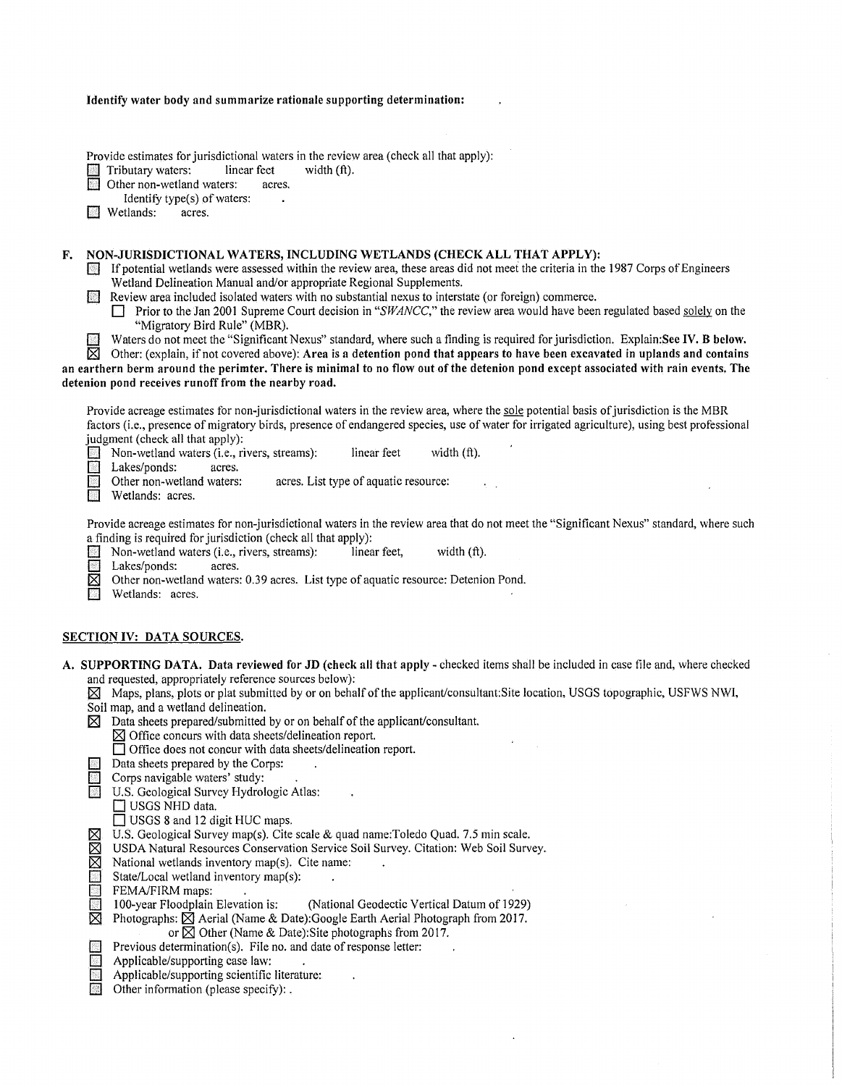|  |  |  |  |  |  |  |  | Identify water body and summarize rationale supporting determination: |
|--|--|--|--|--|--|--|--|-----------------------------------------------------------------------|
|--|--|--|--|--|--|--|--|-----------------------------------------------------------------------|

Provide estimates for jurisdictional waters in the review area (check all that apply):<br>
Tributary waters: linear feet width (ft).

 $\sim$ 

**El Tributary waters:** linear feet <br> **El** Other non-wetland waters: acres.

 $\overline{a}$  Other non-wetland waters:

Identify type(s) of waters:<br>tlands: acres.

**El** Wetlands:

## **F. NON-JURISDICTIONAL WATERS, INCLUDING WETLANDS (CHECK ALL THAT APPLY):**

If potential wetlands were assessed within the review area, these areas did not meet the criteria in the 1987 Corps of Engineers Wetland Delineation Manual and/or appropriate Regional Supplements.

**D** Review area included isolated waters with no substantial nexus to interstate (or foreign) commerce.

**El** Prior to the Jan 2001 Supreme Court decision in *"SWANCC,"* the review area would have been regulated based solely on the "Migratory Bird Rule" (MBR).

**El** Waters do not meet the "Significant Nexus" standard, where such a finding is required for jurisdiction. Explain:See **IV. B below.** 

 $\overline{\boxtimes}$  Other: (explain, if not covered above): **Area is a detention pond that appears to have been excavated in uplands and contains an earthern berm around the perimter. There is minimal to no flow out of the detenion pond except associated with rain events. The detenion pond receives runoff from the nearby road.** 

Provide acreage estimates for non-jurisdictional waters in the review area, where the sole potential basis of jurisdiction is the MBR factors (i.e., presence of migratory birds, presence of endangered species, use of water for irrigated agriculture), using best professional judgment (check all that apply):

**Ell** Non-wetland waters (i.e., rivers, streams): linear feet width (ft).

**El Lakes/ponds:** acres.<br> **El Other non-wetland waters:** 

- acres. List type of aquatic resource:
- **El** Wetlands: acres.

Provide acreage estimates for non-jurisdictional waters in the review area that do not meet the "Significant Nexus" standard, where such a finding is required for jurisdiction (check all that apply):

- **El** Non-wetland waters (i.e., rivers, streams): linear feet, width (ft).<br>
Lakes/ponds: acres.
- **El Lakes/ponds:**<br> **Colder non-weight**
- 181 Other non-wetland waters: 0.39 acres. List type of aquatic resource: Detenion Pond.
- Wetlands: acres.

## **SECTION IV: DATA SOURCES.**

|  | A. SUPPORTING DATA. Data reviewed for JD (check all that apply - checked items shall be included in case file and, where checked |  |
|--|----------------------------------------------------------------------------------------------------------------------------------|--|
|  | and requested, appropriately reference sources below):                                                                           |  |

- **<sup>181</sup>**Maps, plans, plots or plat submitted by or on behalf of the applicant/consultant:Site location, USGS topographic, USFWS NWI,
- Soil map, and a wetland delineation.
- **<sup>181</sup>**Data sheets prepared/submitted by or on behalf of the applicant/consultant.
	- **181** Office concurs with data sheets/delineation report.
	- **El** Office does not concur with data sheets/delineation report.
- **EL** Data sheets prepared by the Corps:
- **El** Corps navigable waters' study:
- **U.S. Geological Survey Hydrologic Atlas:** 
	- **T USGS NHD data.** 
		- [] USGS 8 and **12** digit HUC maps.
- **181** U.S. Geological Survey map(s). Cite scale & quad name:Toledo Quad. 7.5 min scale.
- $\boxtimes$  USDA Natural Resources Conservation Service Soil Survey. Citation: Web Soil Survey.<br>
Mational wetlands inventory map(s). Cite name:
- $\boxtimes$  National wetlands inventory map(s). Cite name:
- **El** State/Local wetland inventory map(s): **D** State/Local wetland
	-
- 100-year Floodplain Elevation is: **El** 100-year Floodplain Elevation is: (National Geodectic Vertical Datum of 1929)
- **I** Photographs:  $\boxtimes$  Aerial (Name & Date):Google Earth Aerial Photograph from 2017.
	- or **181** Other (Name & Date):Site photographs from 2017.
- **El Previous determination(s).** File no. and date of response letter:  $\mathbf{r}$
- **El** Applicable/supporting case law:
- **El** Applicable/supporting scientific literature:
- **D** Other information (please specify):